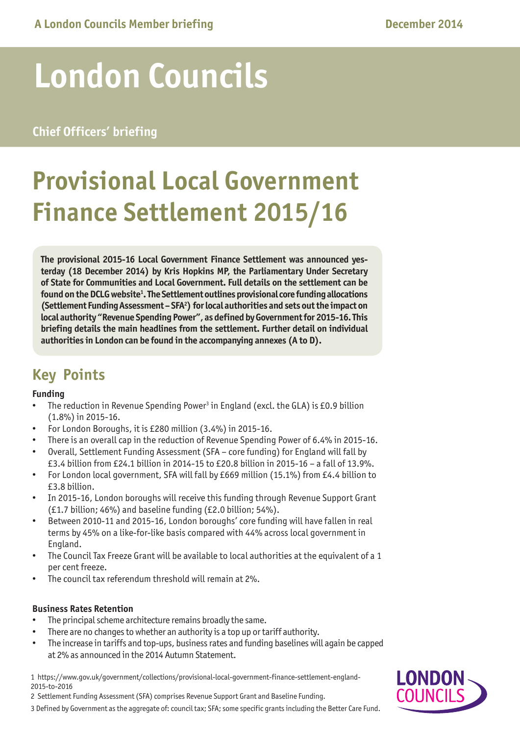# **London Councils**

### **Chief Officers' briefing**

## **Provisional Local Government Finance Settlement 2015/16**

**The provisional 2015-16 Local Government Finance Settlement was announced yesterday (18 December 2014) by Kris Hopkins MP, the Parliamentary Under Secretary of State for Communities and Local Government. Full details on the settlement can be found on the DCLG website1 . The Settlement outlines provisional core funding allocations (Settlement Funding Assessment – SFA2 ) for local authorities and sets out the impact on local authority "Revenue Spending Power", as defined by Government for 2015-16. This briefing details the main headlines from the settlement. Further detail on individual authorities in London can be found in the accompanying annexes (A to D).**

## **Key Points**

#### **Funding**

- The reduction in Revenue Spending Power<sup>3</sup> in England (excl. the GLA) is £0.9 billion (1.8%) in 2015-16.
- For London Boroughs, it is  $£280$  million  $(3.4%)$  in 2015-16.
- There is an overall cap in the reduction of Revenue Spending Power of 6.4% in 2015-16. Overall, Settlement Funding Assessment (SFA - core funding) for England will fall by
- £3.4 billion from £24.1 billion in 2014-15 to £20.8 billion in 2015-16 a fall of 13.9%.
- For London local government, SFA will fall by £669 million (15.1%) from £4.4 billion to £3.8 billion.
- In 2015-16, London boroughs will receive this funding through Revenue Support Grant (£1.7 billion; 46%) and baseline funding (£2.0 billion; 54%).
- Between 2010-11 and 2015-16, London boroughs' core funding will have fallen in real terms by 45% on a like-for-like basis compared with 44% across local government in England.
- The Council Tax Freeze Grant will be available to local authorities at the equivalent of a 1 per cent freeze.
- The council tax referendum threshold will remain at 2%.

#### **Business Rates Retention**

- The principal scheme architecture remains broadly the same.
- There are no changes to whether an authority is a top up or tariff authority.
- The increase in tariffs and top-ups, business rates and funding baselines will again be capped at 2% as announced in the 2014 Autumn Statement.

1 [https://www.gov.uk/government/collections/provisional-local-government-finance-settlement-england-](https://www.gov.uk/government/collections/provisional-local-government-finance-settlement-england-2015-to-2016)[2015-to-2016](https://www.gov.uk/government/collections/provisional-local-government-finance-settlement-england-2015-to-2016) 

2 Settlement Funding Assessment (SFA) comprises Revenue Support Grant and Baseline Funding.

3 Defined by Government as the aggregate of: council tax; SFA; some specific grants including the Better Care Fund.

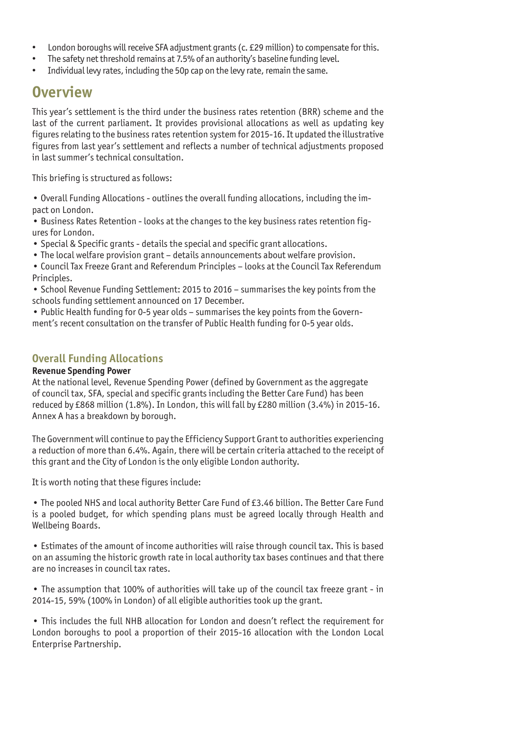- London boroughs will receive SFA adjustment grants (c. £29 million) to compensate for this.
- The safety net threshold remains at 7.5% of an authority's baseline funding level.
- Individual levy rates, including the 50p cap on the levy rate, remain the same.

## **Overview**

This year's settlement is the third under the business rates retention (BRR) scheme and the last of the current parliament. It provides provisional allocations as well as updating key figures relating to the business rates retention system for 2015-16. It updated the illustrative figures from last year's settlement and reflects a number of technical adjustments proposed in last summer's technical consultation.

This briefing is structured as follows:

• Overall Funding Allocations - outlines the overall funding allocations, including the impact on London.

• Business Rates Retention - looks at the changes to the key business rates retention figures for London.

- Special & Specific grants details the special and specific grant allocations.
- The local welfare provision grant details announcements about welfare provision.
- Council Tax Freeze Grant and Referendum Principles looks at the Council Tax Referendum Principles.
- School Revenue Funding Settlement: 2015 to 2016 summarises the key points from the schools funding settlement announced on 17 December.

• Public Health funding for 0-5 year olds – summarises the key points from the Government's recent consultation on the transfer of Public Health funding for 0-5 year olds.

#### **Overall Funding Allocations**

#### **Revenue Spending Power**

At the national level, Revenue Spending Power (defined by Government as the aggregate of council tax, SFA, special and specific grants including the Better Care Fund) has been reduced by £868 million (1.8%). In London, this will fall by £280 million (3.4%) in 2015-16. Annex A has a breakdown by borough.

The Government will continue to pay the Efficiency Support Grant to authorities experiencing a reduction of more than 6.4%. Again, there will be certain criteria attached to the receipt of this grant and the City of London is the only eligible London authority.

It is worth noting that these figures include:

• The pooled NHS and local authority Better Care Fund of £3.46 billion. The Better Care Fund is a pooled budget, for which spending plans must be agreed locally through Health and Wellbeing Boards.

• Estimates of the amount of income authorities will raise through council tax. This is based on an assuming the historic growth rate in local authority tax bases continues and that there are no increases in council tax rates.

• The assumption that 100% of authorities will take up of the council tax freeze grant - in 2014-15, 59% (100% in London) of all eligible authorities took up the grant.

• This includes the full NHB allocation for London and doesn't reflect the requirement for London boroughs to pool a proportion of their 2015-16 allocation with the London Local Enterprise Partnership.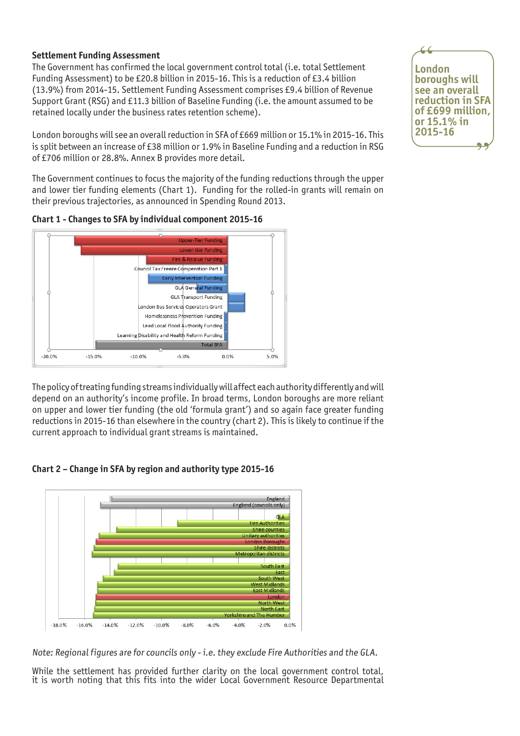#### **Settlement Funding Assessment**

The Government has confirmed the local government control total (i.e. total Settlement Funding Assessment) to be £20.8 billion in 2015-16. This is a reduction of £3.4 billion (13.9%) from 2014-15. Settlement Funding Assessment comprises £9.4 billion of Revenue Support Grant (RSG) and £11.3 billion of Baseline Funding (i.e. the amount assumed to be retained locally under the business rates retention scheme).

London boroughs will see an overall reduction in SFA of £669 million or 15.1% in 2015-16. This is split between an increase of £38 million or 1.9% in Baseline Funding and a reduction in RSG of £706 million or 28.8%. Annex B provides more detail.

The Government continues to focus the majority of the funding reductions through the upper and lower tier funding elements (Chart 1). Funding for the rolled-in grants will remain on their previous trajectories, as announced in Spending Round 2013.





The policy of treating funding streams individually will affect each authority differently and will depend on an authority's income profile. In broad terms, London boroughs are more reliant on upper and lower tier funding (the old 'formula grant') and so again face greater funding reductions in 2015-16 than elsewhere in the country (chart 2). This is likely to continue if the current approach to individual grant streams is maintained.



![](_page_2_Figure_8.jpeg)

Note: Regional figures are for councils only - i.e. they exclude Fire Authorities and the GLA.

While the settlement has provided further clarity on the local government control total, it is worth noting that this fits into the wider Local Government Resource Departmental

![](_page_2_Picture_11.jpeg)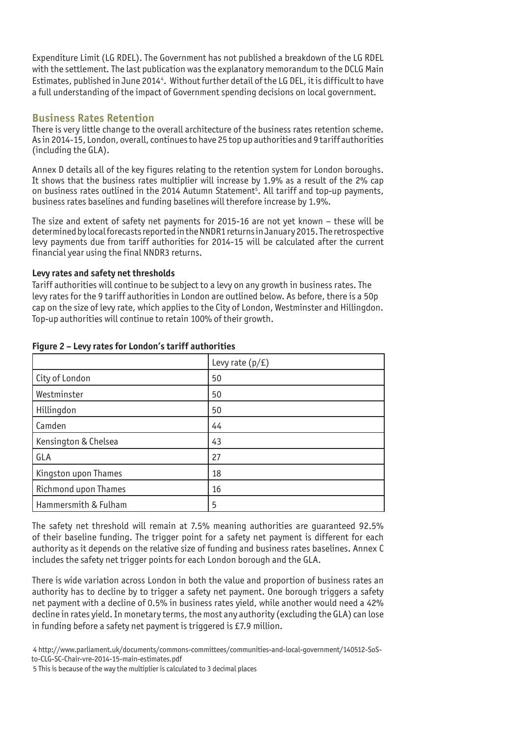Expenditure Limit (LG RDEL). The Government has not published a breakdown of the LG RDEL with the settlement. The last publication was the explanatory memorandum to the DCLG Main Estimates, published in June 20144. Without further detail of the LG DEL, it is difficult to have a full understanding of the impact of Government spending decisions on local government.

#### **Business Rates Retention**

There is very little change to the overall architecture of the business rates retention scheme. As in 2014-15, London, overall, continues to have 25 top up authorities and 9 tariff authorities (including the GLA).

Annex D details all of the key figures relating to the retention system for London boroughs. It shows that the business rates multiplier will increase by 1.9% as a result of the 2% cap on business rates outlined in the 2014 Autumn Statement<sup>5</sup>. All tariff and top-up payments, business rates baselines and funding baselines will therefore increase by 1.9%.

The size and extent of safety net payments for 2015-16 are not yet known – these will be determined by local forecasts reported in the NNDR1 returns in January 2015. The retrospective levy payments due from tariff authorities for 2014-15 will be calculated after the current financial year using the final NNDR3 returns.

#### **Levy rates and safety net thresholds**

Tariff authorities will continue to be subject to a levy on any growth in business rates. The levy rates for the 9 tariff authorities in London are outlined below. As before, there is a 50p cap on the size of levy rate, which applies to the City of London, Westminster and Hillingdon. Top-up authorities will continue to retain 100% of their growth.

|                      | Levy rate $(p/f)$ |
|----------------------|-------------------|
| City of London       | 50                |
| Westminster          | 50                |
| Hillingdon           | 50                |
| Camden               | 44                |
| Kensington & Chelsea | 43                |
| GLA                  | 27                |
| Kingston upon Thames | 18                |
| Richmond upon Thames | 16                |
| Hammersmith & Fulham | 5                 |

#### **Figure 2 – Levy rates for London's tariff authorities**

The safety net threshold will remain at 7.5% meaning authorities are guaranteed 92.5% of their baseline funding. The trigger point for a safety net payment is different for each authority as it depends on the relative size of funding and business rates baselines. Annex C includes the safety net trigger points for each London borough and the GLA.

There is wide variation across London in both the value and proportion of business rates an authority has to decline by to trigger a safety net payment. One borough triggers a safety net payment with a decline of 0.5% in business rates yield, while another would need a 42% decline in rates yield. In monetary terms, the most any authority (excluding the GLA) can lose in funding before a safety net payment is triggered is £7.9 million.

 4 http://www.parliament.uk/documents/commons-committees/communities-and-local-government/140512-SoSto-CLG-SC-Chair-vre-2014-15-main-estimates.pdf

5 This is because of the way the multiplier is calculated to 3 decimal places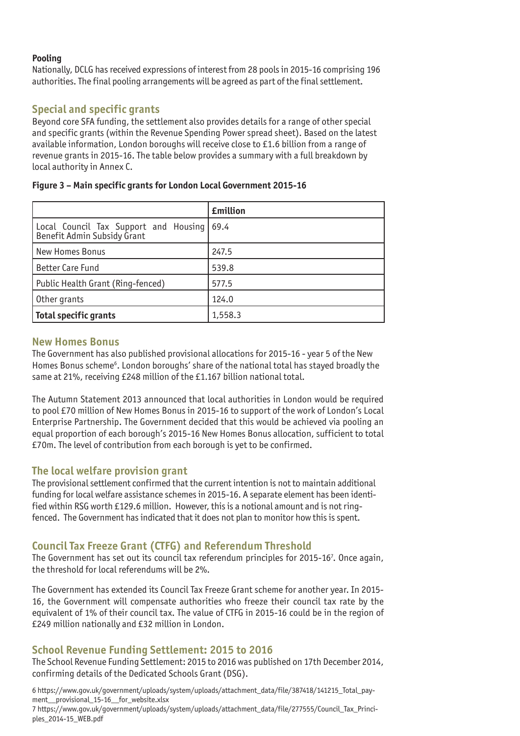#### **Pooling**

Nationally, DCLG has received expressions of interest from 28 pools in 2015-16 comprising 196 authorities. The final pooling arrangements will be agreed as part of the final settlement.

#### **Special and specific grants**

Beyond core SFA funding, the settlement also provides details for a range of other special and specific grants (within the Revenue Spending Power spread sheet). Based on the latest available information, London boroughs will receive close to £1.6 billion from a range of revenue grants in 2015-16. The table below provides a summary with a full breakdown by local authority in Annex C.

|                                                                           | <b>£million</b> |
|---------------------------------------------------------------------------|-----------------|
| Local Council Tax Support and Housing 69.4<br>Benefit Admin Subsidy Grant |                 |
| <b>New Homes Bonus</b>                                                    | 247.5           |
| <b>Better Care Fund</b>                                                   | 539.8           |
| Public Health Grant (Ring-fenced)                                         | 577.5           |
| Other grants                                                              | 124.0           |
| Total specific grants                                                     | 1,558.3         |

#### **Figure 3 – Main specific grants for London Local Government 2015-16**

#### **New Homes Bonus**

The Government has also published provisional allocations for 2015-16 - year 5 of the New Homes Bonus scheme<sup>6</sup>. London boroughs' share of the national total has stayed broadly the same at 21%, receiving £248 million of the £1.167 billion national total.

The Autumn Statement 2013 announced that local authorities in London would be required to pool £70 million of New Homes Bonus in 2015-16 to support of the work of London's Local Enterprise Partnership. The Government decided that this would be achieved via pooling an equal proportion of each borough's 2015-16 New Homes Bonus allocation, sufficient to total £70m. The level of contribution from each borough is yet to be confirmed.

#### **The local welfare provision grant**

The provisional settlement confirmed that the current intention is not to maintain additional funding for local welfare assistance schemes in 2015-16. A separate element has been identified within RSG worth £129.6 million. However, this is a notional amount and is not ringfenced. The Government has indicated that it does not plan to monitor how this is spent.

#### **Council Tax Freeze Grant (CTFG) and Referendum Threshold**

The Government has set out its council tax referendum principles for 2015-16<sup>7</sup>. Once again, the threshold for local referendums will be 2%.

The Government has extended its Council Tax Freeze Grant scheme for another year. In 2015- 16, the Government will compensate authorities who freeze their council tax rate by the equivalent of 1% of their council tax. The value of CTFG in 2015-16 could be in the region of £249 million nationally and £32 million in London.

#### **School Revenue Funding Settlement: 2015 to 2016**

The School Revenue Funding Settlement: 2015 to 2016 was published on 17th December 2014, confirming details of the Dedicated Schools Grant (DSG).

6 https://www.gov.uk/government/uploads/system/uploads/attachment\_data/file/387418/141215\_Total\_payment provisional 15-16 for website.xlsx 7 https://www.gov.uk/government/uploads/system/uploads/attachment\_data/file/277555/Council\_Tax\_Principles\_2014-15\_WEB.pdf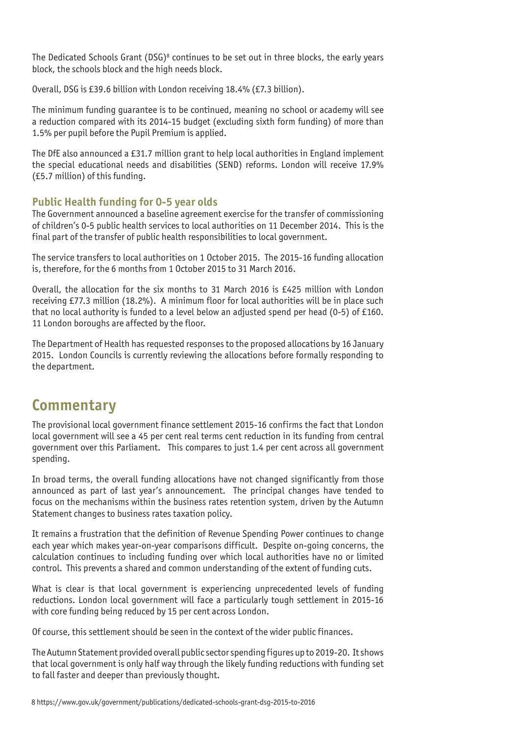The Dedicated Schools Grant (DSG)<sup>8</sup> continues to be set out in three blocks, the early years block, the schools block and the high needs block.

Overall, DSG is £39.6 billion with London receiving 18.4% (£7.3 billion).

The minimum funding guarantee is to be continued, meaning no school or academy will see a reduction compared with its 2014-15 budget (excluding sixth form funding) of more than 1.5% per pupil before the Pupil Premium is applied.

The DfE also announced a £31.7 million grant to help local authorities in England implement the special educational needs and disabilities (SEND) reforms. London will receive 17.9% (£5.7 million) of this funding.

#### **Public Health funding for 0-5 year olds**

The Government announced a baseline agreement exercise for the transfer of commissioning of children's 0-5 public health services to local authorities on 11 December 2014. This is the final part of the transfer of public health responsibilities to local government.

The service transfers to local authorities on 1 October 2015. The 2015-16 funding allocation is, therefore, for the 6 months from 1 October 2015 to 31 March 2016.

Overall, the allocation for the six months to 31 March 2016 is £425 million with London receiving £77.3 million (18.2%). A minimum floor for local authorities will be in place such that no local authority is funded to a level below an adjusted spend per head (0-5) of £160. 11 London boroughs are affected by the floor.

The Department of Health has requested responses to the proposed allocations by 16 January 2015. London Councils is currently reviewing the allocations before formally responding to the department.

## **Commentary**

The provisional local government finance settlement 2015-16 confirms the fact that London local government will see a 45 per cent real terms cent reduction in its funding from central government over this Parliament. This compares to just 1.4 per cent across all government spending.

In broad terms, the overall funding allocations have not changed significantly from those announced as part of last year's announcement. The principal changes have tended to focus on the mechanisms within the business rates retention system, driven by the Autumn Statement changes to business rates taxation policy.

It remains a frustration that the definition of Revenue Spending Power continues to change each year which makes year-on-year comparisons difficult. Despite on-going concerns, the calculation continues to including funding over which local authorities have no or limited control. This prevents a shared and common understanding of the extent of funding cuts.

What is clear is that local government is experiencing unprecedented levels of funding reductions. London local government will face a particularly tough settlement in 2015-16 with core funding being reduced by 15 per cent across London.

Of course, this settlement should be seen in the context of the wider public finances.

The Autumn Statement provided overall public sector spending figures up to 2019-20. It shows that local government is only half way through the likely funding reductions with funding set to fall faster and deeper than previously thought.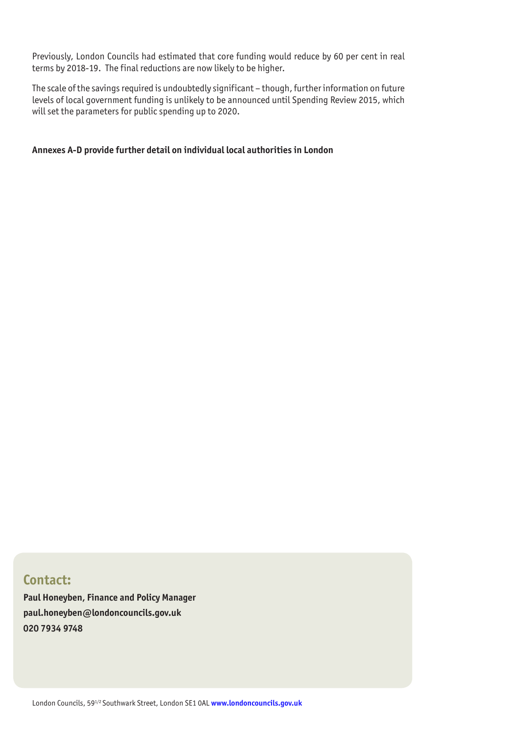Previously, London Councils had estimated that core funding would reduce by 60 per cent in real terms by 2018-19. The final reductions are now likely to be higher.

The scale of the savings required is undoubtedly significant – though, further information on future levels of local government funding is unlikely to be announced until Spending Review 2015, which will set the parameters for public spending up to 2020.

#### **Annexes A-D provide further detail on individual local authorities in London**

#### **Contact:**

**Paul Honeyben, Finance and Policy Manager paul.honeyben@londoncouncils.gov.uk 020 7934 9748**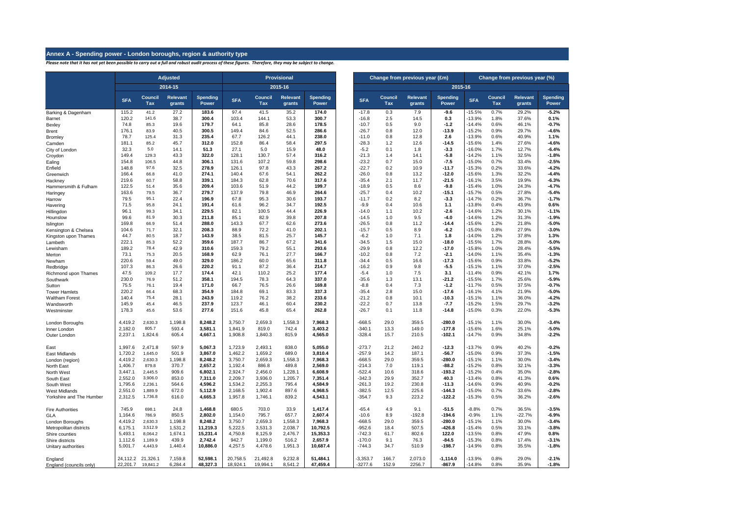#### **Annex A - Spending power - London boroughs, region & authority type**

*Please note that it has not yet been possible to carry out a full and robust audit process of these figures. Therefore, they may be subject to change.*

|                                              |                    |                    | <b>Adjusted</b>    |                     |                    |                    | Provisional        |                          |                      | Change from previous year (£m) |                           |                     |                      |                       | Change from previous year (%) |                          |  |  |  |
|----------------------------------------------|--------------------|--------------------|--------------------|---------------------|--------------------|--------------------|--------------------|--------------------------|----------------------|--------------------------------|---------------------------|---------------------|----------------------|-----------------------|-------------------------------|--------------------------|--|--|--|
|                                              |                    |                    | $2014 - 15$        |                     |                    |                    | 2015-16            |                          |                      |                                |                           | 2015-16             |                      |                       |                               |                          |  |  |  |
|                                              | <b>SFA</b>         | Council<br>Tax     | Relevant<br>grants | Spending<br>Power   | <b>SFA</b>         | Council<br>Tax     | Relevant<br>grants | <b>Spending</b><br>Power | <b>SFA</b>           | Council<br>Tax                 | <b>Relevant</b><br>grants | Spending<br>Power   | <b>SFA</b>           | <b>Council</b><br>Tax | <b>Relevant</b><br>grants     | <b>Spending</b><br>Power |  |  |  |
| Barking & Dagenham                           | 115.2              | 41.2               | 27.2               | 183.6               | 97.4               | 41.5               | 35.2               | 174.0                    | $-17.8$              | 0.3                            | 7.9                       | $-9.6$              | 15.5%                | 0.7%                  | 29.2%                         | $-5.2%$                  |  |  |  |
| Barnet                                       | 120.2<br>74.8      | 141.6<br>85.3      | 38.7<br>19.6       | 300.4<br>179.7      | 103.4<br>64.1      | 144.1<br>85.8      | 53.3<br>28.6       | 300.7<br>178.5           | $-16.8$<br>$-10.7$   | 2.5<br>0.5                     | 14.5<br>9.0               | 0.3<br>$-1.2$       | 13.9%<br>$-14.4%$    | 1.8%<br>0.6%          | 37.6%<br>46.1%                | 0.1%<br>$-0.7%$          |  |  |  |
| Bexley<br>Brent                              | 176.1              | 83.9               | 40.5               | 300.5               | 149.4              | 84.6               | 52.5               | 286.6                    | $-26.7$              | 0.8                            | 12.0                      | $-13.9$             | $-15.2%$             | 0.9%                  | 29.7%                         | 4.6%                     |  |  |  |
| Bromley                                      | 78.7               | 125.4              | 31.3               | 235.4               | 67.7               | 126.2              | 44.1               | 238.0                    | $-11.0$              | 0.8                            | 12.8                      | 2.6                 | -13.9%               | 0.6%                  | 40.9%                         | 1.1%                     |  |  |  |
| Camden                                       | 181.1              | 85.2               | 45.7               | 312.0               | 152.8              | 86.4               | 58.4               | 297.5                    | $-28.3$              | 1.2                            | 12.6                      | $-14.5$             | $-15.6%$             | 1.4%                  | 27.6%                         | $-4.6%$                  |  |  |  |
| City of London                               | 32.3               | 5.0                | 14.1               | 51.3                | 27.1               | 5.0                | 15.9               | 48.0                     | $-5.2$               | 0.1                            | 1.8                       | $-3.3$              | $-16.0%$             | 1.7%                  | 12.7%                         | $-6.4%$                  |  |  |  |
| Croydon                                      | 149.4              | 129.3              | 43.3               | 322.0               | 128.1              | 130.7              | 57.4               | 316.2                    | $-21.3$              | 1.4                            | 14.1                      | $-5.8$              | $-14.2%$             | 1.1%                  | 32.5%                         | $-1.8%$                  |  |  |  |
| Ealing                                       | 154.8              | 106.5              | 44.8               | 306.1               | 131.6              | 107.2              | 59.8               | 298.6                    | $-23.2$              | 0.7                            | 15.0                      | $-7.5$              | $-15.0%$             | 0.7%                  | 33.4%                         | $-2.5%$                  |  |  |  |
| Enfield                                      | 148.8<br>166.4     | 97.6<br>66.8       | 32.5<br>41.0       | 278.9<br>274.1      | 126.1<br>140.4     | 97.8<br>67.6       | 43.3<br>54.1       | 267.2<br>262.2           | $-22.7$<br>$-26.0$   | 0.2<br>0.8                     | 10.9<br>13.2              | $-11.7$<br>$-12.0$  | $-15.3%$<br>$-15.6%$ | 0.2%<br>1.3%          | 33.6%<br>32.2%                | 4.2%<br>4.4%             |  |  |  |
| Greenwich<br>Hackney                         | 219.6              | 60.7               | 58.8               | 339.1               | 184.3              | 62.8               | 70.6               | 317.6                    | $-35.4$              | 2.1                            | 11.7                      | $-21.5$             | $-16.1%$             | 3.5%                  | 19.9%                         | $-6.3%$                  |  |  |  |
| Hammersmith & Fulham                         | 122.5              | 51.4               | 35.6               | 209.4               | 103.6              | 51.9               | 44.2               | 199.7                    | $-18.9$              | 0.5                            | 8.6                       | $-9.8$              | $-15.4%$             | 1.0%                  | 24.3%                         | 4.7%                     |  |  |  |
| Haringey                                     | 163.6              | 79.5               | 36.7               | 279.7               | 137.9              | 79.8               | 46.9               | 264.6                    | $-25.7$              | 0.4                            | 10.2                      | -15.1               | $-15.7%$             | 0.5%                  | 27.8%                         | $-5.4%$                  |  |  |  |
| Harrow                                       | 79.5               | 95.1               | 22.4               | 196.9               | 67.8               | 95.3               | 30.6               | 193.7                    | $-11.7$              | 0.2                            | 8.2                       | $-3.3$              | $-14.7%$             | 0.2%                  | 36.7%                         | $-1.7%$                  |  |  |  |
| Havering                                     | 71.5               | 95.8               | 24.1               | 191.4               | 61.6               | 96.2               | 34.7               | 192.5                    | $-9.9$               | 0.4                            | 10.6                      | 1.1                 | -13.8%               | 0.4%                  | 43.9%                         | 0.6%                     |  |  |  |
| Hillingdon                                   | 96.1               | 99.3               | 34.1               | 229.5               | 82.1               | 100.5              | 44.4               | 226.9                    | $-14.0$              | 1.1                            | 10.2                      | $-2.6$              | $-14.6%$             | 1.2%                  | 30.1%                         | $-1.1%$                  |  |  |  |
| Hounslow                                     | 99.6               | 81.9               | 30.3               | 211.8               | 85.1               | 82.9               | 39.8               | 207.8                    | $-14.5$              | 1.0                            | 9.5                       | $-4.0$              | $-14.6%$             | 1.2%                  | 31.3%                         | $-1.9%$                  |  |  |  |
| Islington                                    | 169.8<br>104.6     | 66.9<br>71.7       | 51.4<br>32.1       | 288.0<br>208.3      | 143.3<br>88.9      | 67.7<br>72.2       | 62.6<br>41.0       | 273.6<br>202.1           | $-26.5$<br>$-15.7$   | 0.8<br>0.5                     | 11.2<br>8.9               | $-14.4$<br>$-6.2$   | $-15.6%$<br>-15.0%   | 1.2%<br>0.8%          | 21.8%<br>27.9%                | $-5.0%$<br>$-3.0%$       |  |  |  |
| Kensington & Chelsea<br>Kingston upon Thames | 44.7               | 80.5               | 18.7               | 143.9               | 38.5               | 81.5               | 25.7               | 145.7                    | $-6.2$               | 1.0                            | 7.1                       | 1.8                 | $-14.0%$             | 1.2%                  | 37.8%                         | 1.3%                     |  |  |  |
| Lambeth                                      | 222.1              | 85.3               | 52.2               | 359.6               | 187.7              | 86.7               | 67.2               | 341.6                    | $-34.5$              | 1.5                            | 15.0                      | $-18.0$             | $-15.5%$             | 1.7%                  | 28.8%                         | $-5.0%$                  |  |  |  |
| Lewisham                                     | 189.2              | 78.4               | 42.9               | 310.6               | 159.3              | 79.2               | 55.1               | 293.6                    | $-29.9$              | 0.8                            | 12.2                      | $-17.0$             | -15.8%               | 1.0%                  | 28.4%                         | $-5.5%$                  |  |  |  |
| Merton                                       | 73.1               | 75.3               | 20.5               | 168.9               | 62.9               | 76.1               | 27.7               | 166.7                    | $-10.2$              | 0.8                            | 7.2                       | $-2.1$              | $-14.0%$             | 1.1%                  | 35.4%                         | $-1.3%$                  |  |  |  |
| Newham                                       | 220.6              | 59.4               | 49.0               | 329.0               | 186.2              | 60.0               | 65.6               | 311.8                    | $-34.4$              | 0.5                            | 16.6                      | $-17.3$             | $-15.6%$             | 0.9%                  | 33.8%                         | $-5.2%$                  |  |  |  |
| Redbridge                                    | 107.3              | 86.3               | 26.6               | 220.2               | 91.1               | 87.2               | 36.4               | 214.7                    | $-16.2$              | 0.9                            | 9.8                       | $-5.5$              | $-15.1%$             | 1.1%                  | 37.0%                         | $-2.5%$                  |  |  |  |
| Richmond upon Thames                         | 47.5<br>230.0      | 109.2              | 17.7<br>51.2       | 174.4<br>358.1      | 42.1<br>194.5      | 110.2<br>78.3      | 25.2<br>64.3       | 177.4<br>337.0           | $-5.4$<br>$-35.6$    | 1.0<br>1.3                     | 7.5<br>13.1               | 3.1<br>-21.2        | $-11.4%$<br>$-15.5%$ | 0.9%<br>1.7%          | 42.1%<br>25.6%                | 1.7%<br>$-5.9%$          |  |  |  |
| Southwark<br>Sutton                          | 75.5               | 76.9<br>76.1       | 19.4               | 171.0               | 66.7               | 76.5               | 26.6               | 169.8                    | $-8.8$               | 0.4                            | 7.3                       | $-1.2$              | $-11.7%$             | 0.5%                  | 37.5%                         | $-0.7%$                  |  |  |  |
| Tower Hamlets                                | 220.2              | 66.4               | 68.3               | 354.9               | 184.8              | 69.1               | 83.3               | 337.3                    | $-35.4$              | 2.8                            | 15.0                      | $-17.6$             | $-16.1%$             | 4.1%                  | 21.9%                         | $-5.0%$                  |  |  |  |
| <b>Waltham Forest</b>                        | 140.4              | 75.4               | 28.1               | 243.9               | 119.2              | 76.2               | 38.2               | 233.6                    | $-21.2$              | 0.8                            | 10.1                      | $-10.3$             | $-15.1%$             | 1.1%                  | 36.0%                         | 4.2%                     |  |  |  |
| Wandsworth                                   | 145.9              | 45.4               | 46.5               | 237.9               | 123.7              | 46.1               | 60.4               | 230.2                    | $-22.2$              | 0.7                            | 13.8                      | $-7.7$              | $-15.2%$             | 1.5%                  | 29.7%                         | $-3.2%$                  |  |  |  |
| Westminster                                  | 178.3              | 45.6               | 53.6               | 277.6               | 151.6              | 45.8               | 65.4               | 262.8                    | $-26.7$              | 0.1                            | 11.8                      | $-14.8$             | $-15.0%$             | 0.3%                  | 22.0%                         | $-5.3%$                  |  |  |  |
| London Boroughs                              | 4,419.2            | 2,630.3            | 1,198.8            | 8,248.2             | 3,750.7            | 2,659.3            | 1,558.3            | 7,968.3                  | $-668.5$             | 29.0                           | 359.5                     | $-280.0$            | $-15.1%$             | 1.1%                  | 30.0%                         | $-3.4%$                  |  |  |  |
| Inner London                                 | 2.182.0            | 805.7              | 593.4              | 3,581.1             | 1,841.9            | 819.0              | 742.4              | 3.403.2                  | $-340.1$             | 13.3                           | 149.0                     | $-177.8$            | $-15.6%$             | 1.6%                  | 25.1%                         | $-5.0%$                  |  |  |  |
| Outer London                                 | 2,237.1            | 1,824.6            | 605.4              | 4,667.1             | 1,908.8            | 1,840.3            | 815.9              | 4,565.0                  | $-328.4$             | 15.7                           | 210.5                     | $-102.1$            | $-14.7%$             | 0.9%                  | 34.8%                         | $-2.2%$                  |  |  |  |
| East                                         | 1,997.6            | 2,471.8            | 597.9              | 5.067.3             | 1,723.9            | 2,493.1            | 838.0              | 5.055.0                  | $-273.7$             | 21.2                           | 240.2                     | $-12.3$             | $-13.7%$             | 0.9%                  | 40.2%                         | $-0.2%$                  |  |  |  |
| East Midlands                                | 1,720.2            | 1,645.0            | 501.9              | 3,867.0             | 1,462.2            | 1,659.2            | 689.0              | 3,810.4                  | $-257.9$             | 14.2                           | 187.1                     | $-56.7$             | $-15.0%$             | 0.9%                  | 37.3%                         | $-1.5%$                  |  |  |  |
| London (region)                              | 4,419.2            | 2,630.3            | 1,198.8            | 8,248.2             | 3,750.7            | 2,659.3            | 1,558.3            | 7,968.3                  | $-668.5$             | 29.0                           | 359.5                     | $-280.0$            | $-15.1%$             | 1.1%                  | 30.0%                         | $-3.4%$                  |  |  |  |
| North East<br>North West                     | 1,406.7<br>3,447.1 | 879.8<br>2,445.5   | 370.7<br>909.6     | 2,657.2<br>6,802.1  | 1,192.4<br>2,924.7 | 886.8<br>2,456.0   | 489.8<br>1,228.1   | 2,569.0<br>6,608.9       | $-214.3$<br>$-522.4$ | 7.0<br>10.6                    | 119.1<br>318.6            | $-88.2$<br>$-193.2$ | $-15.2%$<br>$-15.2%$ | 0.8%<br>0.4%          | 32.1%<br>35.0%                | $-3.3%$<br>$-2.8%$       |  |  |  |
| South East                                   | 2,552.0            | 3,906.0            | 853.0              | 7,311.0             | 2,209.7            | 3,936.0            | 1,205.7            | 7,351.4                  | $-342.3$             | 29.9                           | 352.7                     | 40.3                | $-13.4%$             | 0.8%                  | 41.3%                         | 0.6%                     |  |  |  |
| South West                                   | 1,795.6            | 2,236.1            | 564.6              | 4,596.2             | 1,534.2            | 2,255.3            | 795.4              | 4,584.9                  | $-261.3$             | 19.2                           | 230.8                     | $-11.3$             | $-14.6%$             | 0.9%                  | 40.9%                         | $-0.2%$                  |  |  |  |
| <b>West Midlands</b>                         | 2,551.0            | 1,889.9            | 672.0              | 5,112.9             | 2,168.5            | 1,902.4            | 897.6              | 4,968.5                  | $-382.5$             | 12.5                           | 225.6                     | $-144.3$            | $-15.0%$             | 0.7%                  | 33.6%                         | $-2.8%$                  |  |  |  |
| Yorkshire and The Humber                     | 2,312.5            | 1,736.8            | 616.0              | 4,665.3             | 1,957.8            | 1,746.1            | 839.2              | 4,543.1                  | $-354.7$             | 9.3                            | 223.2                     | $-122.2$            | $-15.3%$             | 0.5%                  | 36.2%                         | $-2.6%$                  |  |  |  |
| <b>Fire Authorities</b>                      | 745.9              | 698.1              | 24.8               | 1,468.8             | 680.5              | 703.0              | 33.9               | 1,417.4                  | $-65.4$              | 4.9                            | 9.1                       | $-51.5$             | $-8.8%$              | 0.7%                  | 36.5%                         | $-3.5%$                  |  |  |  |
| GLA                                          | 1,164.6            | 786.9              | 850.5              | 2,802.0             | 1,154.0            | 795.7              | 657.7              | 2,607.4                  | $-10.6$              | 8.9                            | $-192.8$                  | $-194.6$            | $-0.9%$              | 1.1%                  | $-22.7%$                      | $-6.9%$                  |  |  |  |
| London Boroughs                              | 4.419.2<br>6,175.1 | 2.630.3<br>3,512.9 | 1.198.8<br>1,531.2 | 8.248.2<br>11,219.3 | 3.750.7<br>5,222.5 | 2.659.3<br>3,531.3 | 1,558.3<br>2,038.7 | 7.968.3<br>10,792.5      | $-668.5$<br>$-952.6$ | 29.0                           | 359.5<br>507.5            | $-280.0$<br>-426.8  | $-15.1%$<br>$-15.4%$ | 1.1%<br>0.5%          | 30.0%<br>33.1%                | $-3.4%$<br>$-3.8%$       |  |  |  |
| Metropolitan districts<br>Shire counties     | 5,493.1            | 8,064.2            | 1,674.1            | 15,231.4            | 4,750.8            | 8,125.9            | 2,476.7            | 15,353.3                 | $-742.3$             | 18.4<br>61.7                   | 802.6                     | 122.0               | $-13.5%$             | 0.8%                  | 47.9%                         | 0.8%                     |  |  |  |
| Shire districts                              | 1,112.6            | 1,189.9            | 439.9              | 2,742.4             | 942.7              | 1,199.0            | 516.2              | 2,657.9                  | $-170.0$             | 9.1                            | 76.3                      | $-84.5$             | $-15.3%$             | 0.8%                  | 17.4%                         | $-3.1%$                  |  |  |  |
| Unitary authorities                          | 5,001.7            | 4,443.9            | 1,440.4            | 10,886.0            | 4,257.5            | 4,478.6            | 1,951.3            | 10,687.4                 | $-744.3$             | 34.7                           | 510.9                     | $-198.7$            | $-14.9%$             | 0.8%                  | 35.5%                         | $-1.8%$                  |  |  |  |
| England                                      | 24,112.2           | 21,326.1           | 7,159.8            | 52,598.1            | 20,758.5           | 21,492.8           | 9.232.8            | 51,484.1                 | $-3,353.7$           | 166.7                          | 2,073.0                   | $-1,114.0$          | -13.9%               | 0.8%                  | 29.0%                         | $-2.1%$                  |  |  |  |
| England (councils only)                      | 22,201.7           | 19,841.2           | 6,284.4            | 48,327.3            | 18,924.1           | 19,994.1           | 8,541.2            | 47,459.4                 | $-3277.6$            | 152.9                          | 2256.7                    | $-867.9$            | $-14.8%$             | 0.8%                  | 35.9%                         | $-1.8%$                  |  |  |  |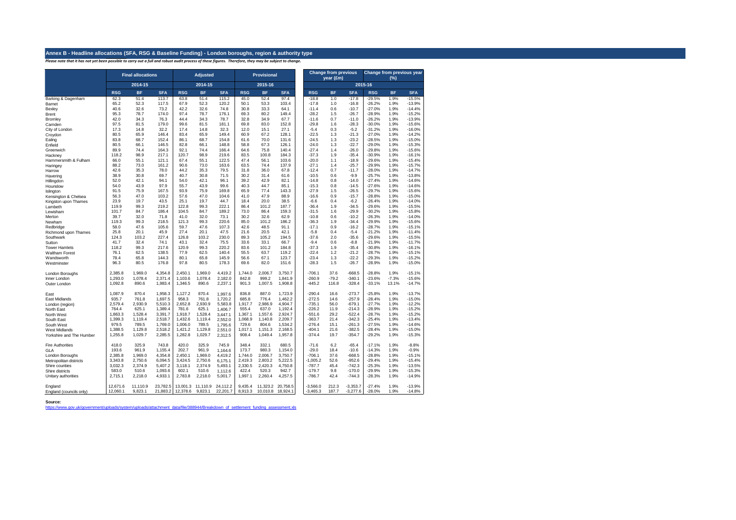#### **Annex B - Headline allocations (SFA, RSG & Baseline Funding) - London boroughs, region & authority type**

*Please note that it has not yet been possible to carry out a full and robust audit process of these figures. Therefore, they may be subject to change.*

|                                    |                      | <b>Final allocations</b> |                      |                    | <b>Adjusted</b>              |                      |                    | <b>Provisional</b>            |                    |                          | <b>Change from previous</b><br>year (£m) |                          | <b>Change from previous year</b><br>(%) |              |                      |  |  |
|------------------------------------|----------------------|--------------------------|----------------------|--------------------|------------------------------|----------------------|--------------------|-------------------------------|--------------------|--------------------------|------------------------------------------|--------------------------|-----------------------------------------|--------------|----------------------|--|--|
|                                    |                      | 2014-15                  |                      |                    | 2014-15                      |                      |                    | 2015-16                       |                    |                          |                                          |                          | 2015-16                                 |              |                      |  |  |
|                                    | <b>RSG</b>           | <b>BF</b>                | <b>SFA</b>           | <b>RSG</b>         | <b>BF</b>                    | <b>SFA</b>           | <b>RSG</b>         | <b>BF</b>                     | <b>SFA</b>         | <b>RSG</b>               | <b>BF</b>                                | <b>SFA</b>               | <b>RSG</b>                              | <b>BF</b>    | <b>SFA</b>           |  |  |
| Barking & Dagenham                 | 62.3                 | 51.4                     | 113.7                | 63.8               | 51.4                         | 115.2                | 45.0               | 52.4                          | 97.4               | $-18.8$                  | 1.0                                      | $-17.8$                  | $-29.5%$                                | 1.9%         | $-15.5%$             |  |  |
| Barnet                             | 65.2                 | 52.3                     | 117.5                | 67.9               | 52.3                         | 120.2                | 50.1               | 53.3                          | 103.4              | $-17.8$                  | 1.0                                      | $-16.8$                  | $-26.2%$                                | 1.9%         | $-13.9%$             |  |  |
| Bexley                             | 40.6<br>95.3         | 32.6<br>78.7             | 73.2<br>174.0        | 42.2<br>97.4       | 32.6<br>78.7                 | 74.8<br>176.1        | 30.8<br>69.3       | 33.3<br>80.2                  | 64.1<br>149.4      | $-11.4$<br>$-28.2$       | 0.6<br>1.5                               | $-10.7$<br>$-26.7$       | $-27.0%$<br>$-28.9%$                    | 1.9%<br>1.9% | $-14.4%$<br>$-15.2%$ |  |  |
| Brent<br>Bromley                   | 42.0                 | 34.3                     | 76.3                 | 44.4               | 34.3                         | 78.7                 | 32.8               | 34.9                          | 67.7               | $-11.6$                  | 0.7                                      | $-11.0$                  | $-26.2%$                                | 1.9%         | $-13.9%$             |  |  |
| Camden                             | 97.5                 | 81.5                     | 179.0                | 99.6               | 81.5                         | 181.1                | 69.8               | 83.0                          | 152.8              | $-29.8$                  | 1.6                                      | $-28.3$                  | $-30.0%$                                | 1.9%         | $-15.6%$             |  |  |
| City of London                     | 17.3                 | 14.8                     | 32.2                 | 17.4               | 14.8                         | 32.3                 | 12.0               | 15.1                          | 27.1               | $-5.4$                   | 0.3                                      | $-5.2$                   | $-31.2%$                                | 1.9%         | $-16.0%$             |  |  |
| Croydon                            | 80.5                 | 65.9                     | 146.4                | 83.4               | 65.9                         | 149.4                | 60.9               | 67.2                          | 128.1              | $-22.5$                  | 1.3                                      | $-21.3$                  | $-27.0%$                                | 1.9%         | $-14.2%$             |  |  |
| Ealing                             | 83.8                 | 68.7                     | 152.4                | 86.1               | 68.7                         | 154.8                | 61.6               | 70.0                          | 131.6              | $-24.5$                  | 1.3                                      | $-23.2$                  | $-28.5%$                                | 1.9%         | $-15.0%$             |  |  |
| Enfield                            | 80.5                 | 66.1                     | 146.5                | 82.8               | 66.1                         | 148.8                | 58.8               | 67.3                          | 126.1              | $-24.0$                  | 1.3                                      | $-22.7$                  | $-29.0%$                                | 1.9%         | $-15.3%$             |  |  |
| Greenwich                          | 89.9                 | 74.4                     | 164.3                | 92.1               | 74.4                         | 166.4                | 64.6               | 75.8                          | 140.4              | $-27.4$                  | 1.4                                      | $-26.0$                  | $-29.8%$                                | 1.9%         | $-15.6%$             |  |  |
| Hackney                            | 118.2<br>66.0        | 98.9<br>55.1             | 217.1<br>121.1       | 120.7<br>67.4      | 98.9<br>55.1                 | 219.6<br>122.5       | 83.5<br>47.4       | 100.8<br>56.1                 | 184.3<br>103.6     | $-37.3$<br>$-20.0$       | 1.9<br>1.1                               | $-35.4$<br>$-18.9$       | $-30.9%$<br>$-29.6%$                    | 1.9%<br>1.9% | $-16.1%$<br>$-15.4%$ |  |  |
| Hammersmith & Fulham               | 88.2                 | 73.0                     | 161.2                | 90.6               | 73.0                         | 163.6                | 63.5               | 74.4                          | 137.9              | $-27.1$                  | 1.4                                      | $-25.7$                  | $-29.9%$                                | 1.9%         | $-15.7%$             |  |  |
| Haringey<br>Harrow                 | 42.6                 | 35.3                     | 78.0                 | 44.2               | 35.3                         | 79.5                 | 31.8               | 36.0                          | 67.8               | $-12.4$                  | 0.7                                      | $-11.7$                  | $-28.0%$                                | 1.9%         | $-14.7%$             |  |  |
| Havering                           | 38.9                 | 30.8                     | 69.7                 | 40.7               | 30.8                         | 71.5                 | 30.2               | 31.4                          | 61.6               | $-10.5$                  | 0.6                                      | $-9.9$                   | $-25.7%$                                | 1.9%         | $-13.8%$             |  |  |
| Hillingdon                         | 52.0                 | 42.1                     | 94.1                 | 54.0               | 42.1                         | 96.1                 | 39.2               | 42.9                          | 82.1               | $-14.8$                  | 0.8                                      | $-14.0$                  | $-27.4%$                                | 1.9%         | $-14.6%$             |  |  |
| Hounslow                           | 54.0                 | 43.9                     | 97.9                 | 55.7               | 43.9                         | 99.6                 | 40.3               | 44.7                          | 85.1               | $-15.3$                  | 0.8                                      | $-14.5$                  | $-27.6%$                                | 1.9%         | $-14.6%$             |  |  |
| Islington                          | 91.5                 | 75.9                     | 167.5                | 93.9               | 75.9                         | 169.8                | 65.9               | 77.4                          | 143.3              | $-27.9$                  | 1.5                                      | $-26.5$                  | $-29.7%$                                | 1.9%         | $-15.6%$             |  |  |
| Kensington & Chelsea               | 56.3                 | 47.0                     | 103.2                | 57.6               | 47.0                         | 104.6                | 41.0               | 47.9                          | 88.9               | $-16.6$                  | 0.9                                      | $-15.7$                  | $-28.8%$                                | 1.9%         | $-15.0%$             |  |  |
| Kingston upon Thames               | 23.9                 | 19.7                     | 43.5                 | 25.1               | 19.7                         | 44.7                 | 18.4               | 20.0                          | 38.5               | $-6.6$                   | 0.4                                      | $-6.2$                   | $-26.4%$                                | 1.9%         | $-14.0%$             |  |  |
| Lambeth                            | 119.9                | 99.3                     | 219.2                | 122.8              | 99.3                         | 222.1                | 86.4               | 101.2                         | 187.7              | $-36.4$                  | 1.9                                      | $-34.5$                  | $-29.6%$                                | 1.9%         | $-15.5%$             |  |  |
| Lewisham                           | 101.7                | 84.7                     | 186.4                | 104.5              | 84.7                         | 189.2                | 73.0               | 86.4                          | 159.3              | $-31.5$                  | 1.6                                      | $-29.9$                  | $-30.2%$                                | 1.9%         | $-15.8%$             |  |  |
| Merton                             | 39.7                 | 32.0                     | 71.8                 | 41.0               | 32.0                         | 73.1                 | 30.2               | 32.6                          | 62.9               | $-10.8$                  | 0.6                                      | $-10.2$                  | $-26.3%$                                | 1.9%         | $-14.0%$             |  |  |
| Newham                             | 119.3                | 99.3                     | 218.5                | 121.3              | 99.3                         | 220.6                | 85.0               | 101.2                         | 186.2              | $-36.3$                  | 1.9                                      | $-34.4$                  | $-29.9%$                                | 1.9%         | $-15.6%$             |  |  |
| Redbridge                          | 58.0                 | 47.6                     | 105.6                | 59.7               | 47.6                         | 107.3                | 42.6               | 48.5                          | 91.1               | $-17.1$                  | 0.9                                      | $-16.2$                  | $-28.7%$                                | 1.9%         | $-15.1%$             |  |  |
| Richmond upon Thames               | 25.8<br>124.3        | 20.1<br>103.2            | 45.9<br>227.4        | 27.4<br>126.8      | 20.1<br>103.2                | 47.5<br>230.0        | 21.6<br>89.3       | 20.5<br>105.2                 | 42.1<br>194.5      | $-5.8$<br>$-37.6$        | 0.4<br>2.0                               | $-5.4$<br>$-35.6$        | $-21.2%$<br>$-29.6%$                    | 1.9%<br>1.9% | $-11.4%$<br>$-15.5%$ |  |  |
| Southwark<br>Sutton                | 41.7                 | 32.4                     | 74.1                 | 43.1               | 32.4                         | 75.5                 | 33.6               | 33.1                          | 66.7               | $-9.4$                   | 0.6                                      | $-8.8$                   | $-21.9%$                                | 1.9%         | $-11.7%$             |  |  |
| <b>Tower Hamlets</b>               | 118.2                | 99.3                     | 217.6                | 120.9              | 99.3                         | 220.2                | 83.6               | 101.2                         | 184.8              | $-37.3$                  | 1.9                                      | $-35.4$                  | $-30.8%$                                | 1.9%         | $-16.1%$             |  |  |
| Waltham Forest                     | 76.1                 | 62.5                     | 138.5                | 77.9               | 62.5                         | 140.4                | 55.5               | 63.7                          | 119.2              | $-22.4$                  | 1.2                                      | $-21.2$                  | $-28.7%$                                | 1.9%         | $-15.1%$             |  |  |
| Wandsworth                         | 78.4                 | 65.8                     | 144.3                | 80.1               | 65.8                         | 145.9                | 56.6               | 67.1                          | 123.7              | $-23.4$                  | 1.3                                      | $-22.2$                  | $-29.3%$                                | 1.9%         | $-15.2%$             |  |  |
| Westminster                        | 96.3                 | 80.5                     | 176.8                | 97.8               | 80.5                         | 178.3                | 69.6               | 82.0                          | 151.6              | $-28.3$                  | 1.5                                      | $-26.7$                  | $-28.9%$                                | 1.9%         | $-15.0%$             |  |  |
| London Boroughs                    | 2,385.8              | 1.969.0                  | 4,354.8              | 2,450.1            | 1,969.0                      | 4.419.2              | 1.744.0            | 2,006.7                       | 3.750.7            | $-706.1$                 | 37.6                                     | $-668.5$                 | $-28.8%$                                | 1.9%         | $-15.1%$             |  |  |
| Inner London                       | 1.293.0              | 1.078.4                  | 2,371.4              | 1.103.6            | 1,078.4                      | 2,182.0              | 842.8              | 999.2                         | 1.841.9            | $-260.9$                 | $-79.2$                                  | $-340.1$                 | $-23.6%$                                | $-7.3%$      | $-15.6%$             |  |  |
| Outer London                       | 1,092.8              | 890.6                    | 1,983.4              | 1,346.5            | 890.6                        | 2,237.1              | 901.3              | 1,007.5                       | 1,908.8            | $-445.2$                 | 116.8                                    | $-328.4$                 | $-33.1%$                                | 13.1%        | $-14.7%$             |  |  |
| East                               | 1,087.9              | 870.4                    | 1,958.3              | 1,127.2            | 870.4                        | 1,997.6              | 836.8              | 887.0                         | 1,723.9            | $-290.4$                 | 16.6                                     | $-273.7$                 | $-25.8%$                                | 1.9%         | $-13.7%$             |  |  |
| East Midlands                      | 935.7                | 761.8                    | 1.697.5              | 958.3              | 761.8                        | 1,720.2              | 685.8              | 776.4                         | 1.462.2            | $-272.5$                 | 14.6                                     | $-257.9$                 | $-28.4%$                                | 1.9%         | $-15.0%$             |  |  |
| London (region)                    | 2,579.4              | 2,930.9                  | 5,510.3              | 2,652.8            | 2,930.9                      | 5,583.8              | 1,917.7            | 2,986.9                       | 4,904.7            | $-735.1$                 | 56.0                                     | $-679.1$                 | $-27.7%$                                | 1.9%         | $-12.2%$             |  |  |
| North East                         | 764.4                | 625.1                    | 1,389.4              | 781.6              | 625.1                        | 1,406.7              | 555.4              | 637.0                         | 1,192.4            | $-226.2$                 | 11.9                                     | $-214.3$                 | $-28.9%$                                | 1.9%         | $-15.2%$             |  |  |
| North West                         | 1,863.3              | 1,528.4                  | 3,391.7              | 1,918.7            | 1,528.4                      | 3,447.1              | 1,367.1            | 1,557.6                       | 2,924.7            | $-551.6$                 | 29.2                                     | $-522.4$                 | $-28.7%$                                | 1.9%         | $-15.2%$             |  |  |
| South East                         | 1.399.3              | 1.119.4                  | 2.518.7              | 1.432.6            | 1.119.4                      | 2.552.0              | 1.068.9            | 1.140.8                       | 2.209.7            | $-363.7$                 | 21.4                                     | $-342.3$                 | $-25.4%$                                | 1.9%         | $-13.4%$             |  |  |
| South West<br>West Midlands        | 979.5<br>1,388.5     | 789.5<br>1.129.8         | 1,769.0<br>2.518.2   | 1,006.0<br>1,421.2 | 789.5<br>1.129.8             | 1.795.6<br>2,551.0   | 729.6<br>1.017.1   | 804.6<br>1,151.3              | 1,534.2<br>2,168.5 | $-276.4$<br>$-404.1$     | 15.1<br>21.6                             | $-261.3$<br>$-382.5$     | $-27.5%$<br>$-28.4%$                    | 1.9%<br>1.9% | $-14.6%$<br>$-15.0%$ |  |  |
| Yorkshire and The Humber           | 1,255.8              | 1,029.7                  | 2,285.5              | 1,282.8            | 1,029.7                      | 2,312.5              | 908.4              | 1.049.4                       | 1,957.8            | $-374.4$                 | 19.7                                     | $-354.7$                 | $-29.2%$                                | 1.9%         | $-15.3%$             |  |  |
| <b>Fire Authorities</b>            | 418.0                | 325.9                    | 743.8                | 420.0              | 325.9                        | 745.9                | 348.4              | 332.1                         | 680.5              | $-71.6$                  | 6.2                                      | $-65.4$                  | $-17.1%$                                | 1.9%         | $-8.8%$              |  |  |
| GLA                                | 193.6                | 961.9                    | 1,155.4              | 202.7              | 961.9                        | 1,164.6              | 173.7              | 980.3                         | 1.154.0            | $-29.0$                  | 18.4                                     | $-10.6$                  | $-14.3%$                                | 1.9%         | $-0.9%$              |  |  |
| London Boroughs                    | 2,385.8              | 1,969.0                  | 4,354.8              | 2,450.1            | 1,969.0                      | 4,419.2              | 1,744.0            | 2,006.7                       | 3,750.7            | $-706.1$                 | 37.6                                     | $-668.5$                 | $-28.8%$                                | 1.9%         | $-15.1%$             |  |  |
| Metropolitan districts             | 3,343.8              | 2,750.6                  | 6,094.5              | 3,424.5            | 2,750.6                      | 6,175.1              | 2,419.3            | 2,803.2                       | 5,222.5            | $-1,005.2$               | 52.6                                     | $-952.6$                 | $-29.4%$                                | 1.9%         | $-15.4%$             |  |  |
| Shire counties                     | 3.032.3              | 2.374.9                  | 5.407.2              | 3.118.1            | 2.374.9                      | 5,493.1              | 2.330.5            | 2.420.3                       | 4,750.8            | $-787.7$                 | 45.4                                     | $-742.3$                 | $-25.3%$                                | 1.9%         | $-13.5%$             |  |  |
| Shire districts                    | 583.0                | 510.6                    | 1,093.6              | 602.1              | 510.6                        | 1,112.6              | 422.4              | 520.3                         | 942.7              | $-179.7$                 | 9.8                                      | $-170.0$                 | $-29.9%$                                | 1.9%         | $-15.3%$             |  |  |
| Unitary authorities                | 2,715.1              | 2,218.0                  | 4,933.1              | 2,783.8            | 2,218.0                      | 5.001.7              | 1,997.1            | 2,260.4                       | 4,257.5            | $-786.7$                 | 42.4                                     | $-744.3$                 | $-28.3%$                                | 1.9%         | $-14.9%$             |  |  |
| England<br>England (councils only) | 12.671.6<br>12,060.1 | 11.110.9<br>9,823.1      | 23.782.5<br>21,883.2 | 12,378.6           | 13.001.3 11.110.9<br>9,823.1 | 24.112.2<br>22,201.7 | 9.435.4<br>8,913.3 | 11.323.2 20.758.5<br>10,010.8 | 18,924.1           | $-3.566.0$<br>$-3,465.3$ | 212.3<br>187.7                           | $-3.353.7$<br>$-3,277.6$ | $-27.4%$<br>$-28.0%$                    | 1.9%<br>1.9% | $-13.9%$<br>$-14.8%$ |  |  |

**Source:**

[https://www.gov.uk/government/uploads/system/uploads/attachment\\_data/file/388944/Breakdown\\_of\\_settlement\\_funding\\_assessment.xls](https://www.gov.uk/government/uploads/system/uploads/attachment_data/file/388944/Breakdown_of_settlement_funding_assessment.xls)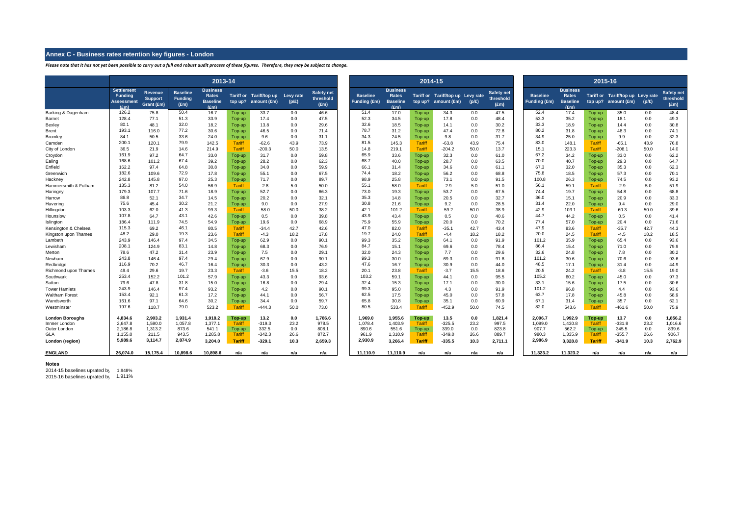#### **Annex C - Business rates retention key figures - London**

*Please note that it has not yet been possible to carry out a full and robust audit process of these figures. Therefore, they may be subject to change.*

|                                |                                                                           |                                                |                                           | 2013-14                                                    |                  |                                                          |            |                                                 |                                        |                                                              | 2014-15          |                                                          |            | 2015-16                                |                                 |                                                            |                  |                                                                         |            |                                                 |
|--------------------------------|---------------------------------------------------------------------------|------------------------------------------------|-------------------------------------------|------------------------------------------------------------|------------------|----------------------------------------------------------|------------|-------------------------------------------------|----------------------------------------|--------------------------------------------------------------|------------------|----------------------------------------------------------|------------|----------------------------------------|---------------------------------|------------------------------------------------------------|------------------|-------------------------------------------------------------------------|------------|-------------------------------------------------|
|                                | <b>Settlement</b><br><b>Funding</b><br><b>Assessment</b><br>$(\text{Em})$ | <b>Revenue</b><br><b>Support</b><br>Grant (£m) | <b>Baseline</b><br><b>Funding</b><br>(Em) | <b>Business</b><br><b>Rates</b><br><b>Baseline</b><br>(Em) |                  | Tariff or Tariff/top up Levy rate<br>top up? amount (£m) | (p/E)      | <b>Safety net</b><br>threshold<br>$(\text{Em})$ | <b>Baseline</b><br><b>Funding (£m)</b> | <b>Business</b><br>Rates<br><b>Baseline</b><br>$(\text{Em})$ |                  | Tariff or Tariff/top up Levy rate<br>top up? amount (£m) | (p/E)      | <b>Safety net</b><br>threshold<br>(Em) | <b>Baseline</b><br>Funding (£m) | <b>Business</b><br><b>Rates</b><br><b>Baseline</b><br>(Em) |                  | Tariff or Tariff/top up Levy rate<br>top up? amount $(\text{\pounds}m)$ | (p/E)      | <b>Safety net</b><br>threshold<br>$(\text{Em})$ |
| Barking & Dagenham             | 126.2                                                                     | 75.8                                           | 50.4                                      | 16.7                                                       | Top-up           | 33.7                                                     | 0.0        | 46.6                                            | 51.4                                   | 17.0                                                         | Top-up           | 34.3                                                     | 0.0        | 47.5                                   | 52.4                            | 17.4                                                       | Top-up           | 35.0                                                                    | 0.0        | 48.4                                            |
| Barnet                         | 128.4                                                                     | 77.1                                           | 51.3                                      | 33.9                                                       | Top-up           | 17.4                                                     | 0.0        | 47.5                                            | 52.3                                   | 34.5                                                         | Top-up           | 17.8                                                     | 0.0        | 48.4                                   | 53.3                            | 35.2                                                       | Top-up           | 18.1                                                                    | 0.0        | 49.3                                            |
| Bexley                         | 80.1                                                                      | 48.1                                           | 32.0                                      | 18.2                                                       | Top-up           | 13.8                                                     | 0.0        | 29.6                                            | 32.6                                   | 18.5                                                         | Top-up           | 14.1                                                     | 0.0        | 30.2                                   | 33.3                            | 18.9                                                       | Top-up           | 14.4                                                                    | 0.0        | 30.8                                            |
| Brent                          | 193.1                                                                     | 116.0                                          | 77.2                                      | 30.6                                                       | Top-up           | 46.5                                                     | 0.0        | 71.4                                            | 78.7                                   | 31.2                                                         | Top-up           | 47.4                                                     | 0.0        | 72.8                                   | 80.2                            | 31.8                                                       | Top-up           | 48.3                                                                    | 0.0        | 74.1                                            |
| Bromley                        | 84.1                                                                      | 50.5                                           | 33.6                                      | 24.0                                                       | Top-up           | 9.6                                                      | 0.0        | 31.1                                            | 34.3                                   | 24.5                                                         | Top-up           | 9.8                                                      | 0.0        | 31.7                                   | 34.9                            | 25.0                                                       | Top-up           | 9.9                                                                     | 0.0        | 32.3                                            |
| Camden                         | 200.1                                                                     | 120.1                                          | 79.9                                      | 142.5                                                      | Tariff           | $-62.6$                                                  | 43.9       | 73.9                                            | 81.5                                   | 145.3                                                        | <b>Tariff</b>    | $-63.8$                                                  | 43.9       | 75.4                                   | 83.0                            | 148.1                                                      | <b>Tariff</b>    | $-65.1$                                                                 | 43.9       | 76.8                                            |
| City of London                 | 36.5                                                                      | 21.9                                           | 14.6                                      | 214.9                                                      | Tariff           | $-200.3$                                                 | 50.0       | 13.5                                            | 14.8                                   | 219.1                                                        | <b>Tariff</b>    | $-204.2$                                                 | 50.0       | 13.7                                   | 15.1                            | 223.3                                                      | <b>Tariff</b>    | $-208.1$                                                                | 50.0       | 14.0                                            |
| Croydon                        | 161.9                                                                     | 97.2                                           | 64.7                                      | 33.0                                                       | Top-up           | 31.7                                                     | 0.0        | 59.8                                            | 65.9                                   | 33.6                                                         | Top-up           | 32.3                                                     | 0.0        | 61.0                                   | 67.2                            | 34.2                                                       | Top-up           | 33.0                                                                    | 0.0        | 62.2                                            |
| Ealing                         | 168.6                                                                     | 101.2                                          | 67.4                                      | 39.2                                                       | Top-up           | 28.2                                                     | 0.0        | 62.3                                            | 68.7                                   | 40.0                                                         | Top-up           | 28.7                                                     | 0.0        | 63.5                                   | 70.0                            | 40.7                                                       | Top-up           | 29.3                                                                    | 0.0        | 64.7                                            |
| Enfield                        | 162.2                                                                     | 97.4                                           | 64.8                                      | 30.8                                                       | Top-up           | 34.0                                                     | 0.0        | 59.9                                            | 66.1                                   | 31.4                                                         | Top-up           | 34.6                                                     | 0.0        | 61.                                    | 67.3                            | 32.0                                                       | Top-up           | 35.3                                                                    | 0.0        | 62.3                                            |
| Greenwich                      | 182.6                                                                     | 109.6                                          | 72.9                                      | 17.8                                                       | Top-up           | 55.1                                                     | 0.0        | 67.5                                            | 74.4                                   | 18.2                                                         | Top-up           | 56.2                                                     | 0.0        | 68.8                                   | 75.8                            | 18.5                                                       | Top-up           | 57.3                                                                    | 0.0        | 70.1                                            |
| Hackney                        | 242.8                                                                     | 145.8                                          | 97.0                                      | 25.3                                                       | Top-up           | 71.7                                                     | 0.0        | 89.7                                            | 98.9                                   | 25.8                                                         | Top-up           | 73.1                                                     | 0.0        | 91.5                                   | 100.8                           | 26.3                                                       | Top-up           | 74.5                                                                    | 0.0        | 93.2                                            |
| Hammersmith & Fulham           | 135.3                                                                     | 81.2                                           | 54.0                                      | 56.9                                                       | Tariff           | $-2.8$                                                   | 5.0        | 50.0                                            | 55.1                                   | 58.0                                                         | <b>Tariff</b>    | $-2.9$                                                   | 5.0        | 51.0                                   | 56.1                            | 59.1                                                       | <b>Tariff</b>    | $-2.9$                                                                  | 5.0        | 51.9                                            |
| Haringey                       | 179.3                                                                     | 107.7                                          | 71.6                                      | 18.9                                                       | Top-up           | 52.7                                                     | 0.0        | 66.3                                            | 73.0                                   | 19.3                                                         | Top-up           | 53.7                                                     | 0.0        | 67.5                                   | 74.4                            | 19.7                                                       | Top-up           | 54.8                                                                    | 0.0        | 68.8                                            |
| Harrow                         | 86.8                                                                      | 52.1                                           | 34.7                                      | 14.5                                                       | Top-up           | 20.2                                                     | 0.0        | 32.1                                            | 35.3                                   | 14.8                                                         | Top-up           | 20.5                                                     | 0.0        | 32.7                                   | 36.0                            | 15.1                                                       | Top-up           | 20.9                                                                    | 0.0        | 33.3                                            |
| Havering                       | 75.6                                                                      | 45.4                                           | 30.2                                      | 21.2                                                       | Top-up           | 9.0                                                      | 0.0        | 27.9                                            | 30.8                                   | 21.6                                                         | Top-up           | 9.2                                                      | 0.0        | 28.5                                   | 31.4                            | 22.0                                                       | Top-up           | 9.4                                                                     | 0.0        | 29.0                                            |
| Hillingdon                     | 103.3                                                                     | 62.0                                           | 41.3                                      | 99.3                                                       | Tariff           | $-58.0$                                                  | 50.0       | 38.2                                            | 42.1                                   | 101.2                                                        | <b>Tariff</b>    | $-59.2$                                                  | 50.0       | 38.9                                   | 42.9                            | 103.1                                                      | <b>Tariff</b>    | $-60.3$                                                                 | 50.0       | 39.6                                            |
| Hounslow                       | 107.8                                                                     | 64.7                                           | 43.1                                      | 42.6                                                       | Top-up           | 0.5                                                      | 0.0        | 39.8                                            | 43.9                                   | 43.4                                                         | Top-up           | 0.5                                                      | 0.0        | 40.6                                   | 44.7                            | 44.2                                                       | Top-up           | 0.5                                                                     | 0.0        | 41.4                                            |
| Islington                      | 186.4                                                                     | 111.9                                          | 74.5                                      | 54.9                                                       | Top-up           | 19.6                                                     | 0.0        | 68.9                                            | 75.9                                   | 55.9                                                         | Top-up           | 20.0                                                     | 0.0        | 70.2                                   | 77.4                            | 57.0                                                       | Top-up           | 20.4                                                                    | 0.0        | 71.6                                            |
| Kensington & Chelsea           | 115.3                                                                     | 69.2                                           | 46.1                                      | 80.5                                                       | Tariff           | $-34.4$                                                  | 42.7       | 42.6                                            | 47.0                                   | 82.0                                                         | Tariff           | $-35.7$                                                  | 42.7       | 43.4                                   | 47.9                            | 83.6                                                       | <b>Tariff</b>    | $-35.7$                                                                 | 42.7       | 44.3                                            |
| Kingston upon Thames           | 48.2<br>243.9                                                             | 29.0                                           | 19.3<br>97.4                              | 23.6                                                       | <b>Tariff</b>    | $-4.3$                                                   | 18.2       | 17.8                                            | 19.7<br>99.3                           | 24.0                                                         | <b>Tariff</b>    | $-4.4$                                                   | 18.2       | 18.2                                   | 20.0<br>101.2                   | 24.5                                                       | Tariff           | $-4.5$                                                                  | 18.2       | 18.5                                            |
| Lambeth                        |                                                                           | 146.4                                          | 83.1                                      | 34.5                                                       | Top-up           | 62.9                                                     | 0.0        | 90.1                                            | 84.7                                   | 35.2                                                         | Top-up           | 64.1                                                     | 0.0        | 91.9                                   | 86.4                            | 35.9                                                       | Top-up           | 65.4                                                                    | 0.0        | 93.6                                            |
| Lewisham                       | 208.1                                                                     | 124.9                                          |                                           | 14.8                                                       | Top-up           | 68.3                                                     | 0.0        | 76.9                                            |                                        | 15.1                                                         | Top-up           | 69.6                                                     | 0.0        | 78.4                                   |                                 | 15.4                                                       | Top-up           | 71.0                                                                    | 0.0        | 79.9                                            |
| Merton                         | 78.6<br>243.8                                                             | 47.2                                           | 31.4<br>97.4                              | 23.9                                                       | Top-up           | 7.5                                                      | 0.0        | 29.1                                            | 32.0<br>99.3                           | 24.3                                                         | Top-up           | 7.7                                                      | 0.0        | 29.6                                   | 32.6<br>101.2                   | 24.8                                                       | Top-up           | 7.8                                                                     | 0.0        | 30.2                                            |
| Newham                         | 116.9                                                                     | 146.4                                          | 46.7                                      | 29.4                                                       | Top-up           | 67.9                                                     | 0.0        | 90.1                                            | 47.6                                   | 30.0                                                         | Top-up           | 69.3                                                     | 0.0        | 91.8                                   | 48.5                            | 30.6                                                       | Top-up           | 70.6                                                                    | 0.0        | 93.6                                            |
| Redbridge                      | 49.4                                                                      | 70.2                                           | 19.7                                      | 16.4                                                       | Top-up           | 30.3                                                     | 0.0        | 43.2                                            | 20.1                                   | 16.7                                                         | Top-up           | 30.9                                                     | 0.0        | 44.0                                   | 20.5                            | 17.1                                                       | Top-up           | 31.4                                                                    | 0.0        | 44.9                                            |
| Richmond upon Thames           | 253.4                                                                     | 29.6                                           | 101.2                                     | 23.3<br>57.9                                               | Tariff           | $-3.6$                                                   | 15.5       | 18.2                                            | 103.2                                  | 23.8                                                         | <b>Tariff</b>    | $-3.7$                                                   | 15.5       | 18.6                                   | 105.2                           | 24.2                                                       | Tariff           | $-3.8$                                                                  | 15.5       | 19.0                                            |
| Southwark                      | 79.6                                                                      | 152.2<br>47.8                                  | 31.8                                      | 15.0                                                       | Top-up<br>Top-up | 43.3<br>16.8                                             | 0.0<br>0.0 | 93.6<br>29.4                                    | 32.4                                   | 59.1<br>15.3                                                 | Top-up           | 44.1<br>17.1                                             | 0.0<br>0.0 | 95.5<br>30.0                           | 33.1                            | 60.2<br>15.6                                               | Top-up           | 45.0<br>17.5                                                            | 0.0<br>0.0 | 97.3<br>30.6                                    |
| Sutton<br><b>Tower Hamlets</b> | 243.9                                                                     | 146.4                                          | 97.4                                      | 93.2                                                       |                  | 4.2                                                      | 0.0        | 90.1                                            | 99.3                                   | 95.0                                                         | Top-up<br>Top-up | 4.3                                                      | 0.0        | 91.9                                   | 101.2                           | 96.8                                                       | Top-up           | 4.4                                                                     | 0.0        | 93.6                                            |
| <b>Waltham Forest</b>          | 153.4                                                                     | 92.1                                           | 61.3                                      | 17.2                                                       | Top-up<br>Top-up | 44.1                                                     | 0.0        | 56.7                                            | 62.5                                   | 17.5                                                         | Top-up           | 45.0                                                     | 0.0        | 57.8                                   | 63.7                            | 17.8                                                       | Top-up<br>Top-up | 45.8                                                                    | 0.0        | 58.9                                            |
| Wandsworth                     | 161.6                                                                     | 97.1                                           | 64.6                                      | 30.2                                                       | Top-up           | 34.4                                                     | 0.0        | 59.7                                            | 65.8                                   | 30.8                                                         | Top-up           | 35.1                                                     | 0.0        | 60.9                                   | 67.1                            | 31.4                                                       | Top-up           | 35.7                                                                    | 0.0        | 62.1                                            |
| Westminster                    | 197.6                                                                     | 118.7                                          | 79.0                                      | 523.2                                                      | Tariff           | $-444.3$                                                 | 50.0       | 73.0                                            | 80.5                                   | 533.4                                                        | Tariff           | $-452.9$                                                 | 50.0       | 74.5                                   | 82.0                            | 543.6                                                      | Tariff           | $-461.6$                                                                | 50.0       | 75.9                                            |
|                                |                                                                           |                                                |                                           |                                                            |                  |                                                          |            |                                                 |                                        |                                                              |                  |                                                          |            |                                        |                                 |                                                            |                  |                                                                         |            |                                                 |
| <b>London Boroughs</b>         | 4,834.6                                                                   | 2,903.2                                        | 1,931.4                                   | 1,918.2                                                    | Top-up           | 13.2                                                     | 0.0        | 1,786.6                                         | 1.969.0                                | 1.955.6                                                      | Top-up           | 13.5                                                     | 0.0        | 1,821.4                                | 2,006.7                         | 1.992.9                                                    | Top-up           | 13.7                                                                    | 0.0        | 1,856.2                                         |
| Innner London                  | 2,647.8                                                                   | 1,590.0                                        | 1,057.8                                   | 1,377.1                                                    | <b>Tariff</b>    | $-319.3$                                                 | 23.2       | 978.5                                           | 1,078.4                                | 1,403.9                                                      | Tariff           | $-325.5$                                                 | 23.2       | 997.5                                  | 1,099.0                         | 1,430.8                                                    | <b>Tariff</b>    | $-331.8$                                                                | 23.2       | 1,016.6                                         |
| Outer London                   | 2,186.8                                                                   | 1,313.2                                        | 873.6                                     | 541.1                                                      | Top-up           | 332.5                                                    | 0.0        | 808.1                                           | 890.6                                  | 551.6                                                        | Top-up           | 339.0                                                    | 0.0        | 823.8                                  | 907.7                           | 562.2                                                      | Top-up           | 345.5                                                                   | 0.0        | 839.6                                           |
| GLA                            | 1,155.0                                                                   | 211.5                                          | 943.5                                     | 1,285.8                                                    | <b>Tariff</b>    | $-342.3$                                                 | 26.6       | 872.7                                           | 961.9                                  | 1,310.9                                                      | <b>Tariff</b>    | $-349.0$                                                 | 26.6       | 889.7                                  | 980.3                           | 1,335.9                                                    | <b>Tariff</b>    | $-355.7$                                                                | 26.6       | 906.7                                           |
| London (region)                | 5,989.6                                                                   | 3,114.7                                        | 2.874.9                                   | 3,204.0                                                    | <b>Tariff</b>    | $-329.1$                                                 | 10.3       | 2,659.3                                         | 2,930.9                                | 3,266.4                                                      | <b>Tariff</b>    | $-335.5$                                                 | 10.3       | 2,711.1                                | 2.986.9                         | 3,328.8                                                    | <b>Tariff</b>    | $-341.9$                                                                | 10.3       | 2,762.9                                         |
| <b>ENGLAND</b>                 | 26.074.0                                                                  | 15.175.4                                       | 10.898.6                                  | 10.898.6                                                   | n/a              | n/a                                                      | n/a        | n/a                                             | 11.110.9                               | 11.110.9                                                     | n/a              | n/a                                                      | n/a        | n/a                                    | 11.323.2                        | 11.323.2                                                   | n/a              | n/a                                                                     | n/a        | n/a                                             |

#### **Notes**

2014-15 baselines uprated by: 1.948% 2015-16 baselines uprated by: 1.911%